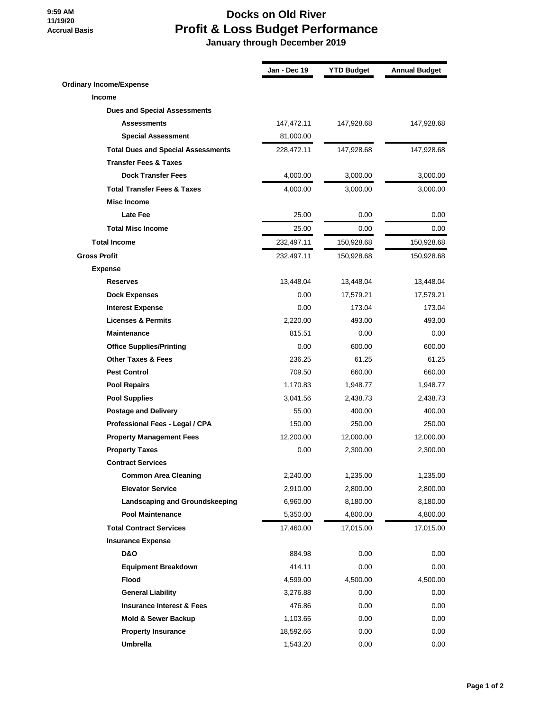## **9:59 AM 11/19/20 Accrual Basis**

## **Docks on Old River Profit & Loss Budget Performance**

 **January through December 2019**

|                                           | Jan - Dec 19 | <b>YTD Budget</b> | <b>Annual Budget</b> |
|-------------------------------------------|--------------|-------------------|----------------------|
| <b>Ordinary Income/Expense</b>            |              |                   |                      |
| <b>Income</b>                             |              |                   |                      |
| <b>Dues and Special Assessments</b>       |              |                   |                      |
| <b>Assessments</b>                        | 147,472.11   | 147,928.68        | 147,928.68           |
| <b>Special Assessment</b>                 | 81,000.00    |                   |                      |
| <b>Total Dues and Special Assessments</b> | 228,472.11   | 147,928.68        | 147,928.68           |
| <b>Transfer Fees &amp; Taxes</b>          |              |                   |                      |
| <b>Dock Transfer Fees</b>                 | 4,000.00     | 3,000.00          | 3,000.00             |
| <b>Total Transfer Fees &amp; Taxes</b>    | 4,000.00     | 3,000.00          | 3,000.00             |
| <b>Misc Income</b>                        |              |                   |                      |
| <b>Late Fee</b>                           | 25.00        | 0.00              | 0.00                 |
| <b>Total Misc Income</b>                  | 25.00        | 0.00              | 0.00                 |
| <b>Total Income</b>                       | 232,497.11   | 150,928.68        | 150,928.68           |
| <b>Gross Profit</b>                       | 232,497.11   | 150,928.68        | 150,928.68           |
| <b>Expense</b>                            |              |                   |                      |
| <b>Reserves</b>                           | 13,448.04    | 13,448.04         | 13,448.04            |
| <b>Dock Expenses</b>                      | 0.00         | 17,579.21         | 17,579.21            |
| <b>Interest Expense</b>                   | 0.00         | 173.04            | 173.04               |
| <b>Licenses &amp; Permits</b>             | 2,220.00     | 493.00            | 493.00               |
| <b>Maintenance</b>                        | 815.51       | 0.00              | 0.00                 |
| <b>Office Supplies/Printing</b>           | 0.00         | 600.00            | 600.00               |
| <b>Other Taxes &amp; Fees</b>             | 236.25       | 61.25             | 61.25                |
| <b>Pest Control</b>                       | 709.50       | 660.00            | 660.00               |
| <b>Pool Repairs</b>                       | 1,170.83     | 1,948.77          | 1,948.77             |
| <b>Pool Supplies</b>                      | 3,041.56     | 2,438.73          | 2,438.73             |
| <b>Postage and Delivery</b>               | 55.00        | 400.00            | 400.00               |
| Professional Fees - Legal / CPA           | 150.00       | 250.00            | 250.00               |
| <b>Property Management Fees</b>           | 12,200.00    | 12,000.00         | 12,000.00            |
| <b>Property Taxes</b>                     | 0.00         | 2,300.00          | 2,300.00             |
| <b>Contract Services</b>                  |              |                   |                      |
| <b>Common Area Cleaning</b>               | 2,240.00     | 1,235.00          | 1,235.00             |
| <b>Elevator Service</b>                   | 2,910.00     | 2,800.00          | 2,800.00             |
| Landscaping and Groundskeeping            | 6,960.00     | 8,180.00          | 8,180.00             |
| <b>Pool Maintenance</b>                   | 5,350.00     | 4,800.00          | 4,800.00             |
| <b>Total Contract Services</b>            | 17,460.00    | 17,015.00         | 17,015.00            |
| <b>Insurance Expense</b>                  |              |                   |                      |
| <b>D&amp;O</b>                            | 884.98       | 0.00              | 0.00                 |
| <b>Equipment Breakdown</b>                | 414.11       | 0.00              | 0.00                 |
| Flood                                     | 4,599.00     | 4,500.00          | 4,500.00             |
| <b>General Liability</b>                  | 3,276.88     | 0.00              | 0.00                 |
| <b>Insurance Interest &amp; Fees</b>      | 476.86       | 0.00              | 0.00                 |
| Mold & Sewer Backup                       | 1,103.65     | 0.00              | 0.00                 |
| <b>Property Insurance</b>                 | 18,592.66    | 0.00              | 0.00                 |
| <b>Umbrella</b>                           | 1,543.20     | 0.00              | 0.00                 |